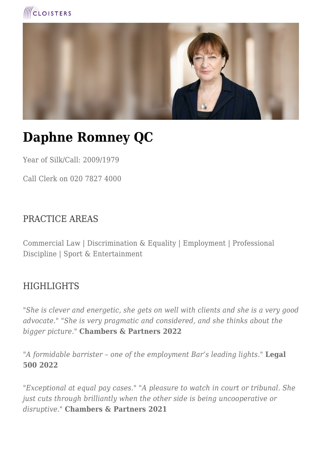



# **Daphne Romney QC**

Year of Silk/Call: 2009/1979

Call Clerk on 020 7827 4000

#### PRACTICE AREAS

Commercial Law | Discrimination & Equality | Employment | Professional Discipline | Sport & Entertainment

#### HIGHLIGHTS

*"She is clever and energetic, she gets on well with clients and she is a very good advocate." "She is very pragmatic and considered, and she thinks about the bigger picture."* **Chambers & Partners 2022**

"*A formidable barrister – one of the employment Bar's leading lights."* **Legal 500 2022**

*"Exceptional at equal pay cases." "A pleasure to watch in court or tribunal. She just cuts through brilliantly when the other side is being uncooperative or disruptive."* **Chambers & Partners 2021**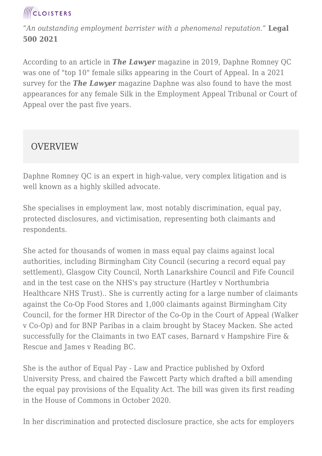

*"An outstanding employment barrister with a phenomenal reputation."* **Legal 500 2021**

According to an article in *The Lawyer* magazine in 2019, Daphne Romney QC was one of "top 10" female silks appearing in the Court of Appeal. In a 2021 survey for the *The Lawyer* magazine Daphne was also found to have the most appearances for any female Silk in the Employment Appeal Tribunal or Court of Appeal over the past five years.

#### **OVERVIEW**

Daphne Romney QC is an expert in high-value, very complex litigation and is well known as a highly skilled advocate.

She specialises in employment law, most notably discrimination, equal pay, protected disclosures, and victimisation, representing both claimants and respondents.

She acted for thousands of women in mass equal pay claims against local authorities, including Birmingham City Council (securing a record equal pay settlement), Glasgow City Council, North Lanarkshire Council and Fife Council and in the test case on the NHS's pay structure (Hartley v Northumbria Healthcare NHS Trust).. She is currently acting for a large number of claimants against the Co-Op Food Stores and 1,000 claimants against Birmingham City Council, for the former HR Director of the Co-Op in the Court of Appeal (Walker v Co-Op) and for BNP Paribas in a claim brought by Stacey Macken. She acted successfully for the Claimants in two EAT cases, Barnard v Hampshire Fire & Rescue and James v Reading BC.

She is the author of Equal Pay - Law and Practice published by Oxford University Press, and chaired the Fawcett Party which drafted a bill amending the equal pay provisions of the Equality Act. The bill was given its first reading in the House of Commons in October 2020.

In her discrimination and protected disclosure practice, she acts for employers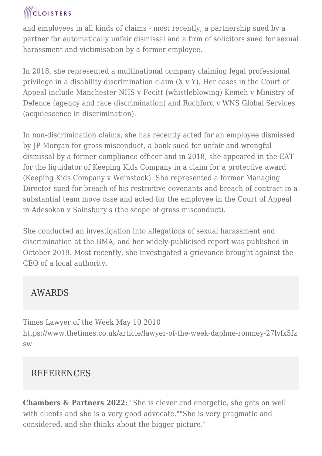### **ICLOISTERS**

and employees in all kinds of claims - most recently, a partnership sued by a partner for automatically unfair dismissal and a firm of solicitors sued for sexual harassment and victimisation by a former employee.

In 2018, she represented a multinational company claiming legal professional privilege in a disability discrimination claim (X v Y). Her cases in the Court of Appeal include Manchester NHS v Fecitt (whistleblowing) Kemeh v Ministry of Defence (agency and race discrimination) and Rochford v WNS Global Services (acquiescence in discrimination).

In non-discrimination claims, she has recently acted for an employee dismissed by JP Morgan for gross misconduct, a bank sued for unfair and wrongful dismissal by a former compliance officer and in 2018, she appeared in the EAT for the liquidator of Keeping Kids Company in a claim for a protective award (Keeping Kids Company v Weinstock). She represented a former Managing Director sued for breach of his restrictive covenants and breach of contract in a substantial team move case and acted for the employee in the Court of Appeal in Adesokan v Sainsbury's (the scope of gross misconduct).

She conducted an investigation into allegations of sexual harassment and discrimination at the BMA, and her widely-publicised report was published in October 2019. Most recently, she investigated a grievance brought against the CEO of a local authority.

### AWARDS

Times Lawyer of the Week May 10 2010 https://www.thetimes.co.uk/article/lawyer-of-the-week-daphne-romney-27lvfx5fz sw

#### REFERENCES

**Chambers & Partners 2022:** "She is clever and energetic, she gets on well with clients and she is a very good advocate.""She is very pragmatic and considered, and she thinks about the bigger picture."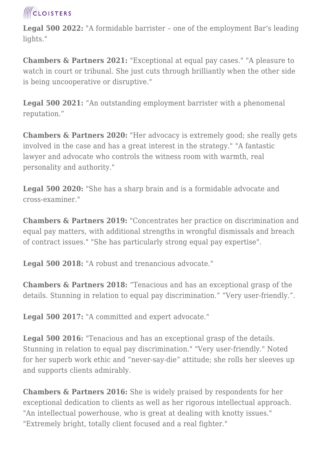

**Legal 500 2022:** "A formidable barrister – one of the employment Bar's leading lights."

**Chambers & Partners 2021:** "Exceptional at equal pay cases." "A pleasure to watch in court or tribunal. She just cuts through brilliantly when the other side is being uncooperative or disruptive."

**Legal 500 2021:** "An outstanding employment barrister with a phenomenal reputation."

**Chambers & Partners 2020:** "Her advocacy is extremely good; she really gets involved in the case and has a great interest in the strategy." "A fantastic lawyer and advocate who controls the witness room with warmth, real personality and authority."

**Legal 500 2020:** "She has a sharp brain and is a formidable advocate and cross-examiner."

**Chambers & Partners 2019:** "Concentrates her practice on discrimination and equal pay matters, with additional strengths in wrongful dismissals and breach of contract issues." "She has particularly strong equal pay expertise".

**Legal 500 2018:** "A robust and trenancious advocate."

**Chambers & Partners 2018:** "Tenacious and has an exceptional grasp of the details. Stunning in relation to equal pay discrimination." "Very user-friendly.".

**Legal 500 2017:** "A committed and expert advocate."

**Legal 500 2016:** "Tenacious and has an exceptional grasp of the details. Stunning in relation to equal pay discrimination." "Very user-friendly." Noted for her superb work ethic and "never-say-die" attitude; she rolls her sleeves up and supports clients admirably.

**Chambers & Partners 2016:** She is widely praised by respondents for her exceptional dedication to clients as well as her rigorous intellectual approach. "An intellectual powerhouse, who is great at dealing with knotty issues." "Extremely bright, totally client focused and a real fighter."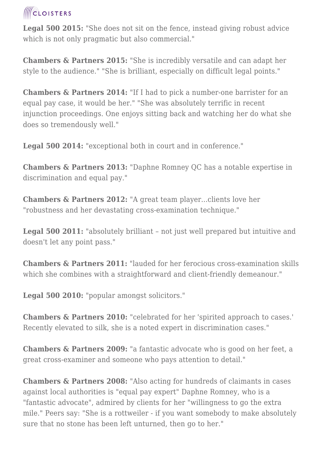## **ICLOISTERS**

**Legal 500 2015:** "She does not sit on the fence, instead giving robust advice which is not only pragmatic but also commercial."

**Chambers & Partners 2015:** "She is incredibly versatile and can adapt her style to the audience." "She is brilliant, especially on difficult legal points."

**Chambers & Partners 2014:** "If I had to pick a number-one barrister for an equal pay case, it would be her." "She was absolutely terrific in recent injunction proceedings. One enjoys sitting back and watching her do what she does so tremendously well."

**Legal 500 2014:** "exceptional both in court and in conference."

**Chambers & Partners 2013:** "Daphne Romney QC has a notable expertise in discrimination and equal pay."

**Chambers & Partners 2012:** "A great team player...clients love her "robustness and her devastating cross-examination technique."

Legal 500 2011: "absolutely brilliant - not just well prepared but intuitive and doesn't let any point pass."

**Chambers & Partners 2011:** "lauded for her ferocious cross-examination skills which she combines with a straightforward and client-friendly demeanour."

**Legal 500 2010:** "popular amongst solicitors."

**Chambers & Partners 2010:** "celebrated for her 'spirited approach to cases.' Recently elevated to silk, she is a noted expert in discrimination cases."

**Chambers & Partners 2009:** "a fantastic advocate who is good on her feet, a great cross-examiner and someone who pays attention to detail."

**Chambers & Partners 2008:** "Also acting for hundreds of claimants in cases against local authorities is "equal pay expert" Daphne Romney, who is a "fantastic advocate", admired by clients for her "willingness to go the extra mile." Peers say: "She is a rottweiler - if you want somebody to make absolutely sure that no stone has been left unturned, then go to her."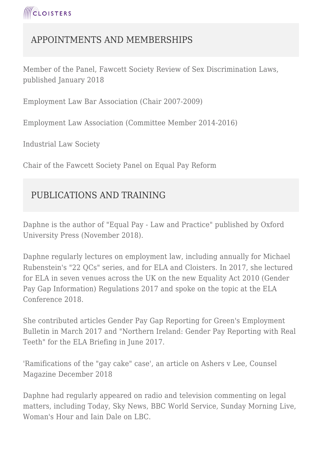#### APPOINTMENTS AND MEMBERSHIPS

Member of the Panel, Fawcett Society Review of Sex Discrimination Laws, published January 2018

Employment Law Bar Association (Chair 2007-2009)

Employment Law Association (Committee Member 2014-2016)

Industrial Law Society

Chair of the Fawcett Society Panel on Equal Pay Reform

### PUBLICATIONS AND TRAINING

Daphne is the author of "Equal Pay - Law and Practice" published by Oxford University Press (November 2018).

Daphne regularly lectures on employment law, including annually for Michael Rubenstein's "22 QCs" series, and for ELA and Cloisters. In 2017, she lectured for ELA in seven venues across the UK on the new Equality Act 2010 (Gender Pay Gap Information) Regulations 2017 and spoke on the topic at the ELA Conference 2018.

She contributed articles Gender Pay Gap Reporting for Green's Employment Bulletin in March 2017 and "Northern Ireland: Gender Pay Reporting with Real Teeth" for the ELA Briefing in June 2017.

'Ramifications of the "gay cake" case', an article on Ashers v Lee, Counsel Magazine December 2018

Daphne had regularly appeared on radio and television commenting on legal matters, including Today, Sky News, BBC World Service, Sunday Morning Live, Woman's Hour and Iain Dale on LBC.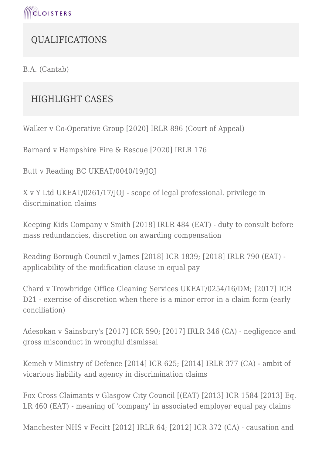

#### QUALIFICATIONS

B.A. (Cantab)

#### HIGHLIGHT CASES

Walker v Co-Operative Group [2020] IRLR 896 (Court of Appeal)

Barnard v Hampshire Fire & Rescue [2020] IRLR 176

Butt v Reading BC UKEAT/0040/19/JOJ

X v Y Ltd UKEAT/0261/17/JOJ - scope of legal professional. privilege in discrimination claims

Keeping Kids Company v Smith [2018] IRLR 484 (EAT) - duty to consult before mass redundancies, discretion on awarding compensation

Reading Borough Council v James [2018] ICR 1839; [2018] IRLR 790 (EAT) applicability of the modification clause in equal pay

Chard v Trowbridge Office Cleaning Services UKEAT/0254/16/DM; [2017] ICR D21 - exercise of discretion when there is a minor error in a claim form (early conciliation)

Adesokan v Sainsbury's [2017] ICR 590; [2017] IRLR 346 (CA) - negligence and gross misconduct in wrongful dismissal

Kemeh v Ministry of Defence [2014[ ICR 625; [2014] IRLR 377 (CA) - ambit of vicarious liability and agency in discrimination claims

Fox Cross Claimants v Glasgow City Council [(EAT) [2013] ICR 1584 [2013] Eq. LR 460 (EAT) - meaning of 'company' in associated employer equal pay claims

Manchester NHS v Fecitt [2012] IRLR 64; [2012] ICR 372 (CA) - causation and